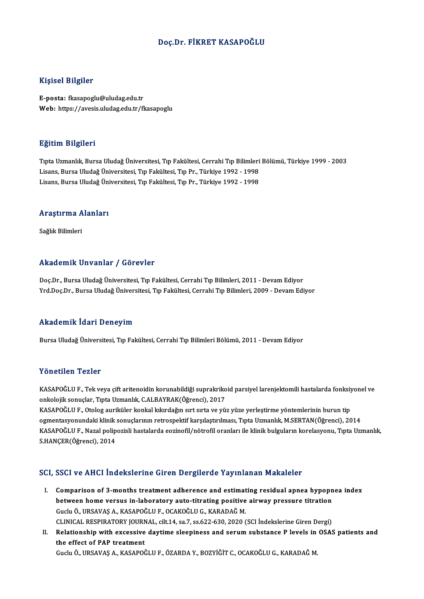#### Doç.Dr. FİKRET KASAPOĞLU

#### Kişisel Bilgiler

E-posta: fkasapoglu@uludag.edu.tr Web: https://avesis.uludag.edu.tr/fkasapoglu

#### Eğitim Bilgileri

**Eğitim Bilgileri**<br>Tıpta Uzmanlık, Bursa Uludağ Üniversitesi, Tıp Fakültesi, Cerrahi Tıp Bilimleri Bölümü, Türkiye 1999 - 2003<br>Lisans, Bursa Uludağ Üniversitesi, Tıp Fakültesi, Tıp Pr., Türkiya 1992, 1999 Lisans, Bargasov<br>Tıpta Uzmanlık, Bursa Uludağ Üniversitesi, Tıp Fakültesi, Cerrahi Tıp Bilimleri<br>Lisans, Bursa Uludağ Üniversitesi, Tıp Fakültesi, Tıp Pr., Türkiye 1992 - 1998<br>Lisans, Bursa Uludağ Üniversitesi, Tıp Fakülte Lisans, Bursa Uludağ Üniversitesi, Tıp Fakültesi, Tıp Pr., Türkiye 1992 - 1998<br>Lisans, Bursa Uludağ Üniversitesi, Tıp Fakültesi, Tıp Pr., Türkiye 1992 - 1998

### Lısans, bursa oludag onl<br>Araştırma Alanları <mark>Araştırma A</mark><br>Sağlık Bilimleri

### Akademik Unvanlar / Görevler

Doç.Dr., Bursa Uludağ Üniversitesi, Tıp Fakültesi, Cerrahi Tıp Bilimleri, 2011 - Devam Ediyor Yrd.Doç.Dr., Bursa Uludağ Üniversitesi, Tıp Fakültesi, Cerrahi Tıp Bilimleri, 2009 - Devam Ediyor

#### Akademik İdari Deneyim

Bursa Uludağ Üniversitesi, Tıp Fakültesi, Cerrahi Tıp Bilimleri Bölümü, 2011 - Devam Ediyor

#### Yönetilen Tezler

KASAPOĞLUF., Tek veya çift aritenoidin korunabildiği suprakrikoid parsiyel larenjektomili hastalarda fonksiyonel ve onkolojik sonuçlar, Tıpta Uzmanlık, C.ALBAYRAK(Öğrenci), 2017

KASAPOĞLU F., Otolog auriküler konkal kıkırdağın sırt sırta ve yüz yüze yerleştirme yöntemlerinin burun tip onkolojik sonuçlar, Tıpta Uzmanlık, C.ALBAYRAK(Öğrenci), 2017<br>KASAPOĞLU F., Otolog auriküler konkal kıkırdağın sırt sırta ve yüz yüze yerleştirme yöntemlerinin burun tip<br>ogmentasyonundaki klinik sonuçlarının retrospektif k KASAPOĞLU F., Otolog auriküler konkal kıkırdağın sırt sırta ve yüz yüze yerleştirme yöntemlerinin burun tip<br>ogmentasyonundaki klinik sonuçlarının retrospektif karşılaştırılması, Tıpta Uzmanlık, M.SERTAN(Öğrenci), 2014<br>KASA ogmentasyonundaki klinik<br>KASAPOĞLU F., Nazal polip<br>S.HANÇER(Öğrenci), 2014

## S.HANÇER(Öğrenci), 2014<br>SCI, SSCI ve AHCI İndekslerine Giren Dergilerde Yayınlanan Makaleler

- I. Comparison of 3-months treatment adherence and estimating residual apnea hypopnea index between home versus in-laboratory auto-titrating formulating residual apnea hypoph<br>between home versus in-laboratory auto-titrating positive airway pressure titration<br>Cushi O, URSAVAS A, VASAROČUUE, OCAVOČUUC, VARADAČ M Comparison of 3-months treatment adherence and estimat<br>between home versus in-laboratory auto-titrating positive<br>Guclu Ö., URSAVAŞ A., KASAPOĞLU F., OCAKOĞLU G., KARADAĞ M.<br>CUNICAL PESPIRATORY JOURNAL .cit 14.423.7.28.622. Guclu Ö., URSAVAŞ A., KASAPOĞLU F., OCAKOĞLU G., KARADAĞ M.<br>CLINICAL RESPIRATORY JOURNAL, cilt.14, sa.7, ss.622-630, 2020 (SCI İndekslerine Giren Dergi) Guclu Ö., URSAVAŞ A., KASAPOĞLU F., OCAKOĞLU G., KARADAĞ M.<br>CLINICAL RESPIRATORY JOURNAL, cilt.14, sa.7, ss.622-630, 2020 (SCI İndekslerine Giren Dergi)<br>II. Relationship with excessive daytime sleepiness and serum substanc
- CLINICAL RESPIRATORY JOURN<br>Relationship with excessive<br>the effect of PAP treatment Relationship with excessive daytime sleepiness and serum substance P levels in<br>the effect of PAP treatment<br>Guclu Ö., URSAVAŞ A., KASAPOĞLU F., ÖZARDA Y., BOZYİĞİT C., OCAKOĞLU G., KARADAĞ M.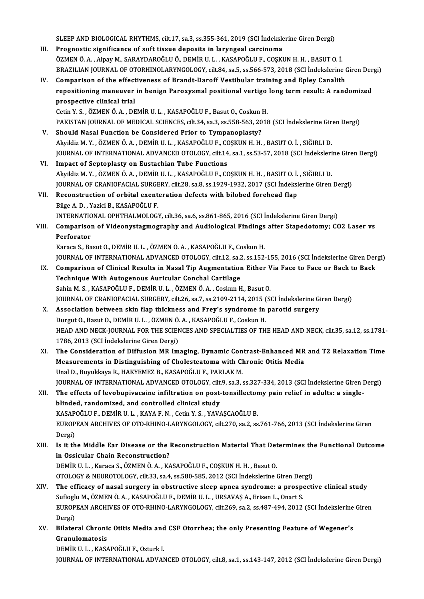SLEEP AND BIOLOGICAL RHYTHMS, cilt.17, sa.3, ss.355-361, 2019 (SCI İndekslerine Giren Dergi)<br>Pregnestis significanse of seft tissue denesits in Jarungeal sansinems

SLEEP AND BIOLOGICAL RHYTHMS, cilt.17, sa.3, ss.355-361, 2019 (SCI İndeksle<br>III. Prognostic significance of soft tissue deposits in laryngeal carcinoma<br>ÖZMEN Ö A Albay M. SARAYDAROČLUÖ, DEMİR U L. KASAROČLUE, COSKI III. Prognostic significance of soft tissue deposits in laryngeal carcinoma<br>ÖZMEN Ö.A., Alpay M., SARAYDAROĞLU Ö., DEMİR U. L., KASAPOĞLU F., COSKUN H. H., BASUT O. İ. BRAZILIAN JOURNAL OF OTORHINOLARYNGOLOGY, cilt.84, sa.5, ss.566-573, 2018 (SCI İndekslerine Giren Dergi) IV. Comparison of the effectiveness of Brandt-Daroff Vestibular training and Epley Canalith BRAZILIAN JOURNAL OF OTORHINOLARYNGOLOGY, cilt.84, sa.5, ss.566-573, 2018 (SCI İndekslerine Giren Der<br>Comparison of the effectiveness of Brandt-Daroff Vestibular training and Epley Canalith<br>repositioning maneuver in benign Comparison of the effect<br>repositioning maneuver<br>prospective clinical trial<br>Cetin V.S. ÖZMEN Ö.A. DE repositioning maneuver in benign Paroxysmal positional vertigo<br>prospective clinical trial<br>Cetin Y. S. , ÖZMEN Ö. A. , DEMİR U. L. , KASAPOĞLU F., Basut O., Coskun H.<br>PAKISTAN JOUPNAL OF MEDICAL SCIENCES silt 34 sa 3 ss 559 prospective clinical trial<br>Cetin Y. S. , ÖZMEN Ö. A. , DEMİR U. L. , KASAPOĞLU F., Basut O., Coskun H.<br>PAKISTAN JOURNAL OF MEDICAL SCIENCES, cilt.34, sa.3, ss.558-563, 2018 (SCI İndekslerine Giren Dergi) V. Should Nasal Function be Considered Prior to Tympanoplasty? PAKISTAN JOURNAL OF MEDICAL SCIENCES, cilt.34, sa.3, ss.558-563, 2018 (SCI İndekslerine Gir<br>Should Nasal Function be Considered Prior to Tympanoplasty?<br>Akyildiz M. Y. , ÖZMEN Ö. A. , DEMİR U. L. , KASAPOĞLU F., COŞKUN H. H JOURNAL OF INTERNATIONAL ADVANCED OTOLOGY, cilt.14, sa.1, ss.53-57, 2018 (SCI İndekslerine Giren Dergi)<br>VI. Impact of Septoplasty on Eustachian Tube Functions Akyildiz M. Y., ÖZMEN Ö. A., DEMİR U. L., KASAPOĞLU F., CONATIONAL OF INTERNATIONAL ADVANCED OTOLOGY, cilt.14<br>VI. Impact of Septoplasty on Eustachian Tube Functions JOURNAL OF INTERNATIONAL ADVANCED OTOLOGY, cilt.14, sa.1, ss.53-57, 2018 (SCI İndeksleri<br>Impact of Septoplasty on Eustachian Tube Functions<br>Akyildiz M.Y. , ÖZMEN Ö. A. , DEMİR U. L. , KASAPOĞLU F., COŞKUN H. H. , BASUT O. Impact of Septoplasty on Eustachian Tube Functions<br>Akyildiz M. Y. , ÖZMEN Ö. A. , DEMİR U. L. , KASAPOĞLU F., COŞKUN H. H. , BASUT O. İ. , SIĞIRLI D.<br>JOURNAL OF CRANIOFACIAL SURGERY, cilt.28, sa.8, ss.1929-1932, 2017 (SCI Akyildiz M. Y. , ÖZMEN Ö. A. , DEMİR U. L. , KASAPOĞLU F., COŞKUN H. H. , BASUT O. İ.<br>JOURNAL OF CRANIOFACIAL SURGERY, cilt.28, sa.8, ss.1929-1932, 2017 (SCI İndeksl<br>VII. Reconstruction of orbital exenteration defects with JOURNAL OF CRANIOFACIAL SURGE<br>Reconstruction of orbital exent<br>Bilge A. D. , Yazici B., KASAPOĞLU F.<br>INTERNATIONAL OPHTHALMOLOCI VII. Reconstruction of orbital exenteration defects with bilobed forehead flap<br>Bilge A. D. , Yazici B., KASAPOĞLU F.<br>INTERNATIONAL OPHTHALMOLOGY, cilt.36, sa.6, ss.861-865, 2016 (SCI İndekslerine Giren Dergi) Bilge A. D. , Yazici B., KASAPOĞLU F.<br>INTERNATIONAL OPHTHALMOLOGY, cilt.36, sa.6, ss.861-865, 2016 (SCI İndekslerine Giren Dergi)<br>VIII. Comparison of Videonystagmography and Audiological Findings after Stapedotomy; CO2 **INTERNATIC<br>Comparison<br>Perforator**<br>Karasa S. Po Comparison of Videonystagmography and Audiological Findings<br>Perforator<br>Karaca S., Basut O., DEMİR U. L. , ÖZMEN Ö. A. , KASAPOĞLU F., Coskun H.<br>JOUPNAL OE INTERNATIONAL ADVANCED OTOLOCY .cilt 12, ca 2, cs 152 Perforator<br>Karaca S., Basut O., DEMİR U. L. , ÖZMEN Ö. A. , KASAPOĞLU F., Coskun H.<br>JOURNAL OF INTERNATIONAL ADVANCED OTOLOGY, cilt.12, sa.2, ss.152-155, 2016 (SCI İndekslerine Giren Dergi) Karaca S., Basut O., DEMİR U. L. , ÖZMEN Ö. A. , KASAPOĞLU F., Coskun H.<br>JOURNAL OF INTERNATIONAL ADVANCED OTOLOGY, cilt.12, sa.2, ss.152-155, 2016 (SCI İndekslerine Giren Der<br>IX. Comparison of Clinical Results in Nasal Ti JOURNAL OF INTERNATIONAL ADVANCED OTOLOGY, cilt.12, sa.2<br>Comparison of Clinical Results in Nasal Tip Augmentation<br>Technique With Autogenous Auricular Conchal Cartilage<br>Sabin M.S., KASAROČUUE, DEMIRJU J., ÖZMENÖÅÅ, Coslave Comparison of Clinical Results in Nasal Tip Augmentation Either V<br>Technique With Autogenous Auricular Conchal Cartilage<br>Sahin M.S., KASAPOĞLU F., DEMİR U.L., ÖZMEN Ö.A., Coskun H., Basut O.<br>JOUPMAL OF CRANIOFACIAL SURCERY Technique With Autogenous Auricular Conchal Cartilage<br>Sahin M. S., KASAPOĞLU F., DEMİR U. L., ÖZMEN Ö. A., Coskun H., Basut O.<br>JOURNAL OF CRANIOFACIAL SURGERY, cilt.26, sa.7, ss.2109-2114, 2015 (SCI İndekslerine Giren Derg Sahin M. S., KASAPOĞLU F., DEMİR U. L., ÖZMEN Ö. A., Coskun H., Basut O.<br>JOURNAL OF CRANIOFACIAL SURGERY, cilt.26, sa.7, ss.2109-2114, 2015 (SCI İndekslerine Gi<br>X. Association between skin flap thickness and Frey's syndrom JOURNAL OF CRANIOFACIAL SURGERY, cilt.26, sa.7, ss.2109-2114, 2015 (<br>Association between skin flap thickness and Frey's syndrome in<br>Durgut O., Basut O., DEMİR U. L. , ÖZMEN Ö. A. , KASAPOĞLU F., Coskun H.<br>HEAD AND NECK JOU Association between skin flap thickness and Frey's syndrome in parotid surgery<br>Durgut O., Basut O., DEMİR U. L. , ÖZMEN Ö. A. , KASAPOĞLU F., Coskun H.<br>HEAD AND NECK-JOURNAL FOR THE SCIENCES AND SPECIALTIES OF THE HEAD AND Durgut O., Basut O., DEMİR U. L. , ÖZMEN Ö.<br>HEAD AND NECK-JOURNAL FOR THE SCIEN<br>1786, 2013 (SCI İndekslerine Giren Dergi)<br>The Consideration of Diffusion MB Im HEAD AND NECK-JOURNAL FOR THE SCIENCES AND SPECIALTIES OF THE HEAD AND NECK, cilt.35, sa.12, ss.1781-<br>1786, 2013 (SCI Indekslerine Giren Dergi)<br>XI. The Consideration of Diffusion MR Imaging, Dynamic Contrast-Enhanced MR an 1786, 2013 (SCI İndekslerine Giren Dergi)<br>The Consideration of Diffusion MR Imaging, Dynamic Contrast-Enhanced MR<br>Measurements in Distinguishing of Cholesteatoma with Chronic Otitis Media<br>Unal D. Burukkave B. HAKVEMEZ B. K The Consideration of Diffusion MR Imaging, Dynamic Con<br>Measurements in Distinguishing of Cholesteatoma with Cl<br>Unal D., Buyukkaya R., HAKYEMEZ B., KASAPOĞLU F., PARLAK M.<br>JOUPNAL OF INTERNATIONAL ADVANCED OTOLOCY. silt 9, Unal D., Buyukkaya R., HAKYEMEZ B., KASAPOĞLU F., PARLAK M.<br>JOURNAL OF INTERNATIONAL ADVANCED OTOLOGY, cilt.9, sa.3, ss.327-334, 2013 (SCI İndekslerine Giren Dergi) Unal D., Buyukkaya R., HAKYEMEZ B., KASAPOĞLU F., PARLAK M.<br>JOURNAL OF INTERNATIONAL ADVANCED OTOLOGY, cilt.9, sa.3, ss.327-334, 2013 (SCI İndekslerine Giren 1<br>XII. The effects of levobupivacaine infiltration on post-tonsi JOURNAL OF INTERNATIONAL ADVANCED OTOLOGY, cilt.<br>The effects of levobupivacaine infiltration on post-<br>blinded, randomized, and controlled clinical study<br>KASAPOČLUE DEMIRULL KAYAE N. Cetin V.S., YAYA The effects of levobupivacaine infiltration on post-tonsillector<br>blinded, randomized, and controlled clinical study<br>KASAPOĞLU F., DEMİR U. L. , KAYA F. N. , Cetin Y. S. , YAVAŞCAOĞLU B.<br>FUROPEAN ARCHIVES OF OTO PHINO LAPYN blinded, randomized, and controlled clinical study<br>KASAPOĞLU F., DEMİR U. L. , KAYA F. N. , Cetin Y. S. , YAVAŞCAOĞLU B.<br>EUROPEAN ARCHIVES OF OTO-RHINO-LARYNGOLOGY, cilt.270, sa.2, ss.761-766, 2013 (SCI İndekslerine Giren<br> KASAP<br>EUROP<br>Dergi)<br>Ls it th EUROPEAN ARCHIVES OF OTO-RHINO-LARYNGOLOGY, cilt.270, sa.2, ss.761-766, 2013 (SCI İndekslerine Giren<br>Dergi)<br>XIII. Is it the Middle Ear Disease or the Reconstruction Material That Determines the Functional Outcome<br>in Osciul Dergi)<br>XIII. Is it the Middle Ear Disease or the Reconstruction Material That Determines the Functional Outcome<br>in Ossicular Chain Reconstruction? DEMİRU.L. ,Karaca S.,ÖZMENÖ.A. ,KASAPOĞLUF.,COŞKUNH.H. ,BasutO. in Ossicular Chain Reconstruction?<br>DEMİR U. L. , Karaca S., ÖZMEN Ö. A. , KASAPOĞLU F., COŞKUN H. H. , Basut O.<br>OTOLOGY & NEUROTOLOGY, cilt.33, sa.4, ss.580-585, 2012 (SCI İndekslerine Giren Dergi)<br>The efficesy of nesel su XIV. The efficacy of nasal surgery in obstructive sleep apnea syndrome: a prospective clinical study<br>Sufioglu M., ÖZMEN Ö. A., KASAPOĞLU F., DEMİR U. L., URSAVAS A., Erisen L., Onart S. OTOLOGY & NEUROTOLOGY, cilt.33, sa.4, ss.580-585, 2012 (SCI İndekslerine Giren Der<br>The efficacy of nasal surgery in obstructive sleep apnea syndrome: a prospe<br>Sufioglu M., ÖZMEN Ö. A. , KASAPOĞLU F., DEMİR U. L. , URSAVAŞ The efficacy of nasal surgery in obstructive sleep apnea syndrome: a prospective clinical study<br>Sufioglu M., ÖZMEN Ö. A. , KASAPOĞLU F., DEMİR U. L. , URSAVAŞ A., Erisen L., Onart S.<br>EUROPEAN ARCHIVES OF OTO-RHINO-LARYNGOL Sufiogle<br>EUROP<br>Dergi)<br>Bilotor EUROPEAN ARCHIVES OF OTO-RHINO-LARYNGOLOGY, cilt.269, sa.2, ss.487-494, 2012 (SCI İndekslerine<br>Dergi)<br>XV. Bilateral Chronic Otitis Media and CSF Otorrhea; the only Presenting Feature of Wegener's<br>Cranulamatesis Dergi)<br>Bilateral Chroni<br>Granulomatosis<br>DEMIP U J. – KAS/ Bilateral Chronic Otitis Media and<br>Granulomatosis<br>DEMİR U. L. , KASAPOĞLU F., Ozturk I.<br>JOUPNAL OF INTERNATIONAL ADVAN Granulomatosis<br>DEMİR U. L. , KASAPOĞLU F., Ozturk I.<br>JOURNAL OF INTERNATIONAL ADVANCED OTOLOGY, cilt.8, sa.1, ss.143-147, 2012 (SCI İndekslerine Giren Dergi)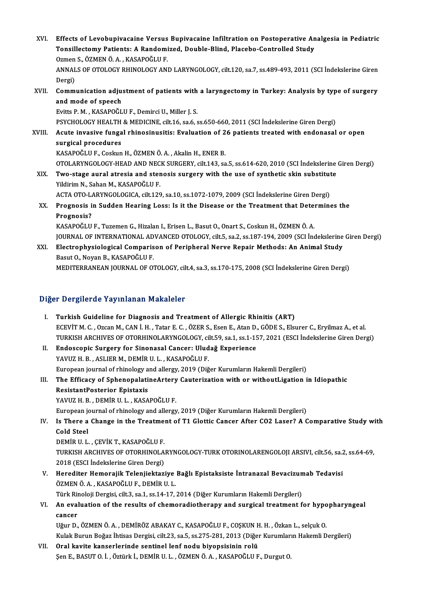- XVI. Effects of Levobupivacaine Versus Bupivacaine Infiltration on Postoperative Analgesia in Pediatric Effects of Levobupivacaine Versus Bupivacaine Infiltration on Postoperative An<br>Tonsillectomy Patients: A Randomized, Double-Blind, Placebo-Controlled Study<br>Ozman S. ÖZMEN Ö.A., KASAROČLU E Effects of Levobupivacaine Versus<br>Tonsillectomy Patients: A Randomi<br>Ozmen S., ÖZMEN Ö.A. , KASAPOĞLU F.<br>ANNALS OF OTOLOCY PHINOLOCY ANI Tonsillectomy Patients: A Randomized, Double-Blind, Placebo-Controlled Study<br>Ozmen S., ÖZMEN Ö. A. , KASAPOĞLU F.<br>ANNALS OF OTOLOGY RHINOLOGY AND LARYNGOLOGY, cilt.120, sa.7, ss.489-493, 2011 (SCI İndekslerine Giren<br>Persi) Ozmen<br>ANNAL<br>Dergi)<br>Comm ANNALS OF OTOLOGY RHINOLOGY AND LARYNGOLOGY, cilt.120, sa.7, ss.489-493, 2011 (SCI İndekslerine Giren<br>Dergi)<br>XVII. Communication adjustment of patients with a laryngectomy in Turkey: Analysis by type of surgery<br>and mode of
- Dergi)<br>Communication adju:<br>and mode of speech<br>Evitte B.M., KASABOČI Communication adjustment of patients with<br>and mode of speech<br>Evitts P.M. , KASAPOĞLU F., Demirci U., Miller J. S.<br>PSYCHOLOCY HEALTH & MEDICINE silt 16 sp.6 s

and mode of speech<br>Evitts P. M. , KASAPOĞLU F., Demirci U., Miller J. S.<br>PSYCHOLOGY HEALTH & MEDICINE, cilt.16, sa.6, ss.650-660, 2011 (SCI İndekslerine Giren Dergi)<br>Agute invasive fungal rhinesinusitis: Evaluation of 26 n Evitts P. M. , KASAPOĞLU F., Demirci U., Miller J. S.<br>PSYCHOLOGY HEALTH & MEDICINE, cilt.16, sa.6, ss.650-660, 2011 (SCI İndekslerine Giren Dergi)<br>XVIII. Acute invasive fungal rhinosinusitis: Evaluation of 26 patients

PSYCHOLOGY HEALTH<br>Acute invasive funga<br>surgical procedures<br>KASAPOČI UE Cockup Acute invasive fungal rhinosinusitis: Evaluation of 2<br>surgical procedures<br>KASAPOĞLU F., Coskun H., ÖZMEN Ö. A. , Akalin H., ENER B.<br>OTOLAPYNCOLOCY HEAD AND NECK SURCERY sit 143-sa surgical procedures<br>KASAPOĞLU F., Coskun H., ÖZMEN Ö. A. , Akalin H., ENER B.<br>OTOLARYNGOLOGY-HEAD AND NECK SURGERY, cilt.143, sa.5, ss.614-620, 2010 (SCI İndekslerine Giren Dergi)

KASAPOĞLU F., Coskun H., ÖZMEN Ö. A. , Akalin H., ENER B.<br>OTOLARYNGOLOGY-HEAD AND NECK SURGERY, cilt.143, sa.5, ss.614-620, 2010 (SCI İndekslerine<br>XIX. Two-stage aural atresia and stenosis surgery with the use of synth OTOLARYNGOLOGY-HEAD AND NEC<br>Two-stage aural atresia and ster<br>Yildirim N., Sahan M., KASAPOĞLU F.<br>ACTA OTO LARYNCOLOGICA silt 120 Two-stage aural atresia and stenosis surgery with the use of synthetic skin substitut<br>Yildirim N., Sahan M., KASAPOĞLU F.<br>ACTA OTO-LARYNGOLOGICA, cilt.129, sa.10, ss.1072-1079, 2009 (SCI İndekslerine Giren Dergi)<br>Prespecie

Yildirim N., Sahan M., KASAPOĞLU F.<br>ACTA OTO-LARYNGOLOGICA, cilt.129, sa.10, ss.1072-1079, 2009 (SCI İndekslerine Giren Dergi)<br>XX. Prognosis in Sudden Hearing Loss: Is it the Disease or the Treatment that Determines the<br>Pr ACTA OTO-L<mark>i</mark><br>Prognosis i<br>Prognosis?<br>KASADOČUU Prognosis in Sudden Hearing Loss: Is it the Disease or the Treatment that Dete:<br>Prognosis?<br>KASAPOĞLU F., Tuzemen G., Hizalan I., Erisen L., Basut O., Onart S., Coskun H., ÖZMEN Ö. A.<br>JOUPMAL OF INTERNATIONAL ADVANCED OTOLO

Prognosis?<br>KASAPOĞLU F., Tuzemen G., Hizalan I., Erisen L., Basut O., Onart S., Coskun H., ÖZMEN Ö. A.<br>JOURNAL OF INTERNATIONAL ADVANCED OTOLOGY, cilt.5, sa.2, ss.187-194, 2009 (SCI İndekslerine Giren Dergi)<br>Flastrophysiol KASAPOĞLU F., Tuzemen G., Hizalan I., Erisen L., Basut O., Onart S., Coskun H., ÖZMEN Ö. A.<br>JOURNAL OF INTERNATIONAL ADVANCED OTOLOGY, cilt.5, sa.2, ss.187-194, 2009 (SCI İndekslerine<br>XXI. Electrophysiological Comparison o

JOURNAL OF INTERNATIONAL AD<br>Electrophysiological Comparis<br>Basut O., Noyan B., KASAPOĞLU F.<br>MEDITERRANEAN IOURNAL OF O. XXI. Electrophysiological Comparison of Peripheral Nerve Repair Methods: An Animal Study<br>Basut O., Noyan B., KASAPOĞLU F.<br>MEDITERRANEAN JOURNAL OF OTOLOGY, cilt.4, sa.3, ss.170-175, 2008 (SCI İndekslerine Giren Dergi)

#### Diğer Dergilerde Yayınlanan Makaleler

I. Turkish Guideline for Diagnosis and Treatment of Allergic Rhinitis (ART) ECEVİTM.C. ,OzcanM.,CANİ.H. ,Tatar E.C. ,ÖZERS.,EsenE.,AtanD.,GÖDES.,Elsurer C.,EryilmazA.,etal. Turkish Guideline for Diagnosis and Treatment of Allergic Rhinitis (ART)<br>ECEVİT M. C. , Ozcan M., CAN İ. H. , Tatar E. C. , ÖZER S., Esen E., Atan D., GÖDE S., Elsurer C., Eryilmaz A., et al.<br>TURKISH ARCHIVES OF OTORHINOLA ECEVİT M. C. , Ozcan M., CAN İ. H. , Tatar E. C. , ÖZER S., Esen E., Atan D.<br>TURKISH ARCHIVES OF OTORHINOLARYNGOLOGY, cilt.59, sa.1, ss.1-15<br>II. Endoscopic Surgery for Sinonasal Cancer: Uludağ Experience<br>YAVIIZ H. P. ASI I II. Endoscopic Surgery for Sinonasal Cancer: Uludağ Experience<br>YAVUZ H.B., ASLIER M., DEMİR U.L., KASAPOĞLU F. European journal of rhinology and allergy, 2019 (Diğer Kurumların Hakemli Dergileri) YAVUZ H. B. , ASLIER M., DEMIR U. L. , KASAPOĞLU F.<br>European journal of rhinology and allergy, 2019 (Diğer Kurumların Hakemli Dergileri)<br>III. The Efficacy of SphenopalatineArtery Cauterization with or withoutLigation in Id European journal of rhinology a<br>The Efficacy of Sphenopalati<br>ResistantPosterior Epistaxis<br>YAVUZ H B - DEM<sup>ip II I - KASA</sup> The Efficacy of SphenopalatineArtery<br>ResistantPosterior Epistaxis<br>YAVUZ H. B. , DEMİR U. L. , KASAPOĞLU F.<br>European journal of rhinology and allorgy ResistantPosterior Epistaxis<br>YAVUZ H. B. , DEMİR U. L. , KASAPOĞLU F.<br>European journal of rhinology and allergy, 2019 (Diğer Kurumların Hakemli Dergileri) YAVUZ H. B. , DEMİR U. L. , KASAPOĞLU F.<br>European journal of rhinology and allergy, 2019 (Diğer Kurumların Hakemli Dergileri)<br>IV. Is There a Change in the Treatment of T1 Glottic Cancer After CO2 Laser? A Comparative Study European jo<br>I<mark>s There a</mark><br>Cold Steel<br>DEM<sup>ip II I</sup> Cold Steel<br>DEMİR U. L. , ÇEVİK T., KASAPOĞLU F. Cold Steel<br>DEMİR U. L. , ÇEVİK T., KASAPOĞLU F.<br>TURKISH ARCHIVES OF OTORHINOLARYNGOLOGY-TURK OTORINOLARENGOLOJI ARSIVI, cilt.56, sa.2, ss.64-69,<br>2018 (ESCL İndekslerine Ciren Dergi) DEMİR U. L. , ÇEVİK T., KASAPOĞLU F.<br>TURKISH ARCHIVES OF OTORHINOLA<br>2018 (ESCI İndekslerine Giren Dergi)<br>Haraditar Hamarajik Talanijaktar TURKISH ARCHIVES OF OTORHINOLARYNGOLOGY-TURK OTORINOLARENGOLOJI ARSIVI, cilt.56, sa.<br>2018 (ESCI İndekslerine Giren Dergi)<br>V. Herediter Hemorajik Telenjiektaziye Bağlı Epistaksiste İntranazal Bevacizumab Tedavisi<br>ÖZMEN Ö A. 2018 (ESCI İndekslerine Giren Dergi)<br>Herediter Hemorajik Telenjiektaziye<br>ÖZMEN Ö.A., KASAPOĞLU F., DEMİR U. L.<br>Türk Pineleji Dergisi, silt 2, sə 1, sə 14, 17, Herediter Hemorajik Telenjiektaziye Bağlı Epistaksiste İntranazal Bevacizun<br>ÖZMEN Ö. A. , KASAPOĞLU F., DEMİR U. L.<br>Türk Rinoloji Dergisi, cilt.3, sa.1, ss.14-17, 2014 (Diğer Kurumların Hakemli Dergileri)<br>An evaluation of ÖZMEN Ö. A. , KASAPOĞLU F., DEMİR U. L.<br>Türk Rinoloji Dergisi, cilt.3, sa.1, ss.14-17, 2014 (Diğer Kurumların Hakemli Dergileri)<br>VI. An evaluation of the results of chemoradiotherapy and surgical treatment for hypophar Türk Rinoloji Dergisi, cilt.3, sa.1, ss.14-17, 2014 (Diğer Kurumların Hakemli Dergileri) An evaluation of the results of chemoradiotherapy and surgical treatment for hypo<br>cancer<br>Uğur D., ÖZMEN Ö. A. , DEMİRÖZ ABAKAY C., KASAPOĞLU F., COŞKUN H. H. , Özkan L., selçuk O.<br>Kulak Burun Boğaz İhtissa Dargisi, silt 22 cancer<br>Uğur D., ÖZMEN Ö. A. , DEMİRÖZ ABAKAY C., KASAPOĞLU F., COŞKUN H. H. , Özkan L., selçuk O.<br>Kulak Burun Boğaz İhtisas Dergisi, cilt.23, sa.5, ss.275-281, 2013 (Diğer Kurumların Hakemli Dergileri)<br>Onal kevite kanserle Uğur D., ÖZMEN Ö. A. , DEMİRÖZ ABAKAY C., KASAPOĞLU F., COŞKUN H<br>Kulak Burun Boğaz İhtisas Dergisi, cilt.23, sa.5, ss.275-281, 2013 (Diğel<br>VII. Oral kavite kanserlerinde sentinel lenf nodu biyopsisinin rolü<br>Son E. BASUT Q. Kulak Burun Boğaz İhtisas Dergisi, cilt.23, sa.5, ss.275-281, 2013 (Diğer Kurumlar<br><mark>Oral kavite kanserlerinde sentinel lenf nodu biyopsisinin rolü</mark><br>Şen E., BASUT O. İ. , Öztürk İ., DEMİR U. L. , ÖZMEN Ö. A. , KASAPOĞLU F.,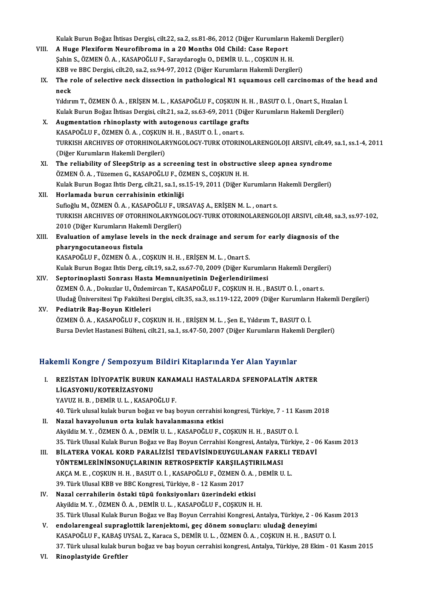Kulak Burun Boğaz İhtisas Dergisi, cilt.22, sa.2, ss.81-86, 2012 (Diğer Kurumların Hakemli Dergileri)<br>A Hugo Pleviform Naunofibrema in a 20 Mantha Old Child: Case Penert Kulak Burun Boğaz İhtisas Dergisi, cilt.22, sa.2, ss.81-86, 2012 (Diğer Kurumların<br>VIII. A Huge Plexiform Neurofibroma in a 20 Months Old Child: Case Report Kulak Burun Boğaz İhtisas Dergisi, cilt.22, sa.2, ss.81-86, 2012 (Diğer Kurumların H<br>A Huge Plexiform Neurofibroma in a 20 Months Old Child: Case Report<br>Şahin S., ÖZMEN Ö. A. , KASAPOĞLU F., Saraydaroglu O., DEMİR U. L. , A Huge Plexiform Neurofibroma in a 20 Months Old Child: Case Report<br>Şahin S., ÖZMEN Ö. A. , KASAPOĞLU F., Saraydaroglu O., DEMİR U. L. , COŞKUN H. H.<br>KBB ve BBC Dergisi, cilt.20, sa.2, ss.94-97, 2012 (Diğer Kurumların Hake Sahin S., ÖZMEN Ö. A. , KASAPOĞLU F., Saraydaroglu O., DEMİR U. L. , COŞKUN H. H.<br>KBB ve BBC Dergisi, cilt.20, sa.2, ss.94-97, 2012 (Diğer Kurumların Hakemli Dergileri)<br>IX. The role of selective neck dissection in path KBB v<br>The r<br>neck<br><sup>Vilduri</sup> The role of selective neck dissection in pathological N1 squamous cell carcinomas of the l<br>neck<br>Yıldırım T., ÖZMEN Ö. A. , ERİŞEN M. L. , KASAPOĞLU F., COŞKUN H. H. , BASUT O. İ. , Onart S., Hızalan İ.<br>Kulak Burun Boğaz İh neck<br>Yıldırım T., ÖZMEN Ö. A. , ERİŞEN M. L. , KASAPOĞLU F., COŞKUN H. H. , BASUT O. İ. , Onart S., Hızalan İ<br>Kulak Burun Boğaz İhtisas Dergisi, cilt.21, sa.2, ss.63-69, 2011 (Diğer Kurumların Hakemli Dergileri)<br>Augmentati Kulak Burun Boğaz İhtisas Dergisi, cilt.21, sa.2, ss.63-69, 2011 (Diğer Kurumların Hakemli Dergileri)<br>X. Augmentation rhinoplasty with autogenous cartilage grafts Kulak Burun Boğaz İhtisas Dergisi, cilt.21, sa.2, ss.63-69, 2011 (Di<br>Augmentation rhinoplasty with autogenous cartilage graft<br>KASAPOĞLU F., ÖZMEN Ö. A. , COŞKUN H. H. , BASUT O. İ. , onart s.<br>TURKISH ARCHIVES OF OTORHINOLA Augmentation rhinoplasty with autogenous cartilage grafts<br>KASAPOĞLU F., ÖZMEN Ö. A. , COŞKUN H. H. , BASUT O. İ. , onart s.<br>TURKISH ARCHIVES OF OTORHINOLARYNGOLOGY-TURK OTORINOLARENGOLOJI ARSIVI, cilt.49, sa.1, ss.1-4, 201 KASAPOĞLU F., ÖZMEN Ö. A. , COŞKUN<br>TURKISH ARCHIVES OF OTORHINOLAI<br>(Diğer Kurumların Hakemli Dergileri)<br>The reliability of SleepStrin as a s TURKISH ARCHIVES OF OTORHINOLARYNGOLOGY-TURK OTORINOLARENGOLOJI ARSIVI, cilt.49,<br>(Diğer Kurumların Hakemli Dergileri)<br>XI. The reliability of SleepStrip as a screening test in obstructive sleep apnea syndrome<br>ÖZMEN Ö.A. Tür (Diğer Kurumların Hakemli Dergileri)<br>The reliability of SleepStrip as a screening test in obstructi<br>ÖZMEN Ö.A., Tüzemen G., KASAPOĞLU F., ÖZMEN S., COŞKUN H. H.<br>Kulak Burun Bogaz İhtis Deng. silt 31. sə.1. sə.15.19. 2011 ( The reliability of SleepStrip as a screening test in obstructive sleep apnea syndrome<br>ÖZMEN Ö. A. , Tüzemen G., KASAPOĞLU F., ÖZMEN S., COŞKUN H. H.<br>Kulak Burun Bogaz Ihtis Derg, cilt.21, sa.1, ss.15-19, 2011 (Diğer Kuruml ÖZMEN Ö. A. , Tüzemen G., KASAPOĞLU F., ÖZ<br>Kulak Burun Bogaz Ihtis Derg, cilt.21, sa.1, ss<br>XII. Horlamada burun cerrahisinin etkinliği<br>Sufağlu M. ÖZMEN Ö. A. KASAROĞLU E. UP Kulak Burun Bogaz Ihtis Derg, cilt.21, sa.1, ss.15-19, 2011 (Diğer Kurumların<br>Horlamada burun cerrahisinin etkinliği<br>Sufioğlu M., ÖZMEN Ö. A. , KASAPOĞLU F., URSAVAŞ A., ERİŞEN M. L. , onart s.<br>TURKISH ARCHIVES OF OTORHINO Horlamada burun cerrahisinin etkinliği<br>Sufioğlu M., ÖZMEN Ö. A. , KASAPOĞLU F., URSAVAŞ A., ERİŞEN M. L. , onart s.<br>TURKISH ARCHIVES OF OTORHINOLARYNGOLOGY-TURK OTORINOLARENGOLOJI ARSIVI, cilt.48, sa.3, ss.97-102,<br>2010 (Di Sufioğlu M., ÖZMEN Ö. A., KASAPOĞLU F., URSAVAŞ A., ERİŞEN M. L., onart s. TURKISH ARCHIVES OF OTORHINOLARYNGOLOGY-TURK OTORINOLARENGOLOJI ARSIVI, cilt.48, sa<br>2010 (Diğer Kurumların Hakemli Dergileri)<br>XIII. Evaluation of amylase levels in the neck drainage and serum for early diagnosis of the 2010 (Diğer Kurumların Haker<br><mark>Evaluation of amylase level</mark><br>pharyngocutaneous fistula<br>KASAPOČLUE ÖZMENÖA G Evaluation of amylase levels in the neck drainage and serur<br>pharyngocutaneous fistula<br>KASAPOĞLU F., ÖZMEN Ö. A. , COŞKUN H. H. , ERİŞEN M. L. , Onart S.<br>Kulak Burun Bogaz ihtis Dora silt 19, sə 2, sə 67, 70, 2009 (Diğer Ku pharyngocutaneous fistula<br>KASAPOĞLU F., ÖZMEN Ö. A. , COŞKUN H. H. , ERİŞEN M. L. , Onart S.<br>Kulak Burun Bogaz Ihtis Derg, cilt.19, sa.2, ss.67-70, 2009 (Diğer Kurumların Hakemli Dergileri)<br>Senterinenlesti Senresı Hesta Me KASAPOĞLU F., ÖZMEN Ö. A. , COŞKUN H. H. , ERİŞEN M. L. , Onart S.<br>Kulak Burun Bogaz Ihtis Derg, cilt.19, sa.2, ss.67-70, 2009 (Diğer Kurumların Hakemli Dergiler<br>XIV. Septorinoplasti Sonrası Hasta Memnuniyetinin Değerlendi Kulak Burun Bogaz Ihtis Derg, cilt.19, sa.2, ss.67-70, 2009 (Diğer Kurumların Hakemli Dergile:<br>Septorinoplasti Sonrası Hasta Memnuniyetinin Değerlendiriimesi<br>ÖZMEN Ö. A. , Dokuzlar U., Özdemircan T., KASAPOĞLU F., COŞKUN H Septorinoplasti Sonrası Hasta Memnuniyetinin Değerlendiriimesi<br>ÖZMEN Ö. A. , Dokuzlar U., Özdemircan T., KASAPOĞLU F., COŞKUN H. H. , BASUT O. İ. , onart s.<br>Uludağ Üniversitesi Tıp Fakültesi Dergisi, cilt.35, sa.3, ss.119-

#### XV. Pediatrik Baş-Boyun Kitleleri Uludağ Üniversitesi Tıp Fakültesi Dergisi, cilt.35, sa.3, ss.119-122, 2009 (Diğer Kurumların<br>Pediatrik Baş-Boyun Kitleleri<br>ÖZMEN Ö. A. , KASAPOĞLU F., COŞKUN H. H. , ERİŞEN M. L. , Şen E., Yıldırım T., BASUT O. İ.<br>Bursa Da Bursa Devlet Hastanesi Bülteni, cilt.21, sa.1, ss.47-50, 2007 (Diğer Kurumların Hakemli Dergileri)

# Bursa Deviet Hastanesi Buiteni, citt.21, sa.1, ss.47-50, 2007 (Diger Kurumiarın Haken<br>Hakemli Kongre / Sempozyum Bildiri Kitaplarında Yer Alan Yayınlar

akemli Kongre / Sempozyum Bildiri Kitaplarında Yer Alan Yayınlar<br>I. REZİSTAN İDİYOPATİK BURUN KANAMALI HASTALARDA SFENOPALATİN ARTER<br>LİÇASYONU (KOTERİZASYONU I. REZISTAN IDIYOPATIK BURUN KANAMALI HASTALARDA SFENOPALATIN ARTER<br>LIGASYONU/KOTERIZASYONU LİGASYONU/KOTERİZASYONU<br>YAVUZ H. B. , DEMİR U. L. , KASAPOĞLU F.<br>40. Türk ulusal kulak burun boğaz ve baş boyun cerrahisi kongresi, Türkiye, 7 - 11 Kasım 2018<br>Nagal havayalunun arta kulak havalanmasına atkisi

YAVUZH.B., DEMİRU.L., KASAPOĞLUF.

- YAVUZ H. B. , DEMİR U. L. , KASAPOĞLU F.<br>40. Türk ulusal kulak burun boğaz ve baş boyun cerrahisi l<br>II. Nazal havayolunun orta kulak havalanmasına etkisi<br>Alayldiz M. Y. ÖZMEN Ö. A. DEMİR ILL, KASAROĞLU E. II. Nazal havayolunun orta kulak havalanmasına etkisi<br>Akyildiz M.Y. ,ÖZMENÖ.A. ,DEMİRU.L. ,KASAPOĞLU F., COŞKUNH.H. ,BASUTO. İ. Nazal havayolunun orta kulak havalanmasına etkisi<br>Akyildiz M. Y. , ÖZMEN Ö. A. , DEMİR U. L. , KASAPOĞLU F., COŞKUN H. H. , BASUT O. İ.<br>35. Türk Ulusal Kulak Burun Boğaz ve Baş Boyun Cerrahisi Kongresi, Antalya, Türkiye, 2 Akyildiz M. Y. , ÖZMEN Ö. A. , DEMİR U. L. , KASAPOĞLU F., COŞKUN H. H. , BASUT O. İ.<br>35. Türk Ulusal Kulak Burun Boğaz ve Baş Boyun Cerrahisi Kongresi, Antalya, Türkiye, 2 - 0<br>III. BİLATERA VOKAL KORD PARALİZİSİ TEDAV
- 35. Türk Ulusal Kulak Burun Boğaz ve Baş Boyun Cerrahisi Kongresi, Antalya, T<br>BİLATERA VOKAL KORD PARALİZİSİ TEDAVİSİNDEUYGULANAN FARKI<br>YÖNTEMLERİNİNSONUÇLARININ RETROSPEKTİF KARŞILAŞTIRILMASI<br>AKCA M. E. COSKUN U. U. PASUT BİLATERA VOKAL KORD PARALİZİSİ TEDAVİSİNDEUYGULANAN FARKLI<br>YÖNTEMLERİNİNSONUÇLARININ RETROSPEKTİF KARŞILAŞTIRILMASI<br>AKÇA M. E. , COŞKUN H. H. , BASUT O. İ. , KASAPOĞLU F., ÖZMEN Ö. A. , DEMİR U. L.<br>20. Türk Ulucal KPP ve P YÖNTEMLERİNİNSONUÇLARININ RETROSPEKTİF KARŞILA:<br>AKÇA M. E. , COŞKUN H. H. , BASUT O. İ. , KASAPOĞLU F., ÖZMEN Ö.<br>39. Türk Ulusal KBB ve BBC Kongresi, Türkiye, 8 - 12 Kasım 2017<br>Nazal sarrabilerin östeki tünü fanksiyenlerı AKÇA M. E., COŞKUN H. H., BASUT O. İ., KASAPOĞLU F., ÖZMEN Ö. A.,<br>39. Türk Ulusal KBB ve BBC Kongresi, Türkiye, 8 - 12 Kasım 2017<br>IV. Nazal cerrahilerin östaki tüpü fonksiyonları üzerindeki etkisi
- 39. Türk Ulusal KBB ve BBC Kongresi, Türkiye, 8 12 Kasım 2017<br>Nazal cerrahilerin östaki tüpü fonksiyonları üzerindeki etkisi<br>Akyildiz M. Y. , ÖZMEN Ö. A. , DEMİR U. L. , KASAPOĞLU F., COŞKUN H. H.<br>25. Türk Ulusal Kulak B Akyildiz M. Y. , ÖZMEN Ö. A. , DEMİR U. L. , KASAPOĞLU F., COŞKUN H. H.<br>35. Türk Ulusal Kulak Burun Boğaz ve Baş Boyun Cerrahisi Kongresi, Antalya, Türkiye, 2 - 06 Kasım 2013
- V. endolarengeal supraglottik larenjektomi, geç dönemsonuçları: uludağ deneyimi KASAPOĞLUF.,KABAŞUYSAL Z.,Karaca S.,DEMİRU.L. ,ÖZMENÖ.A. ,COŞKUNH.H. ,BASUTO. İ. 37.Türkulusalkulakburunboğazve başboyuncerrahisikongresi,Antalya,Türkiye,28Ekim-01Kasım2015
- VI. Rinoplastyide Greftler